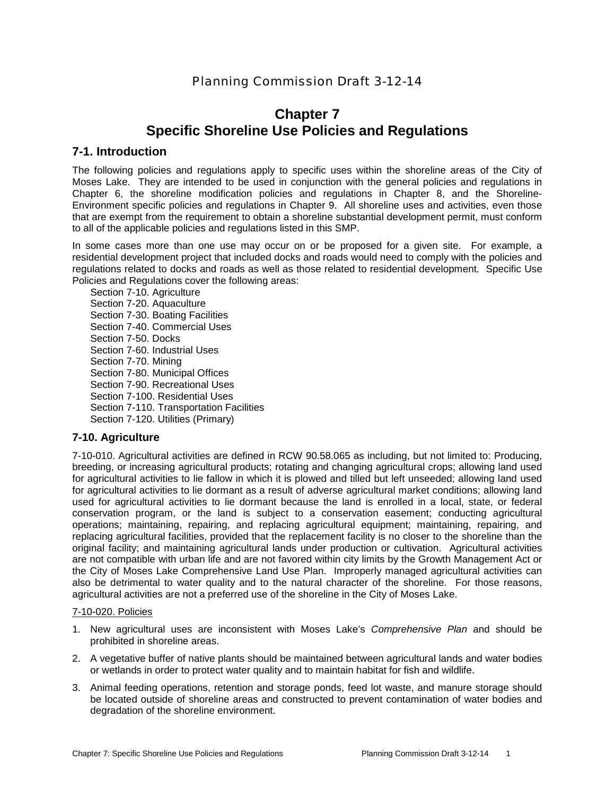# Planning Commission Draft 3-12-14

# **Chapter 7 Specific Shoreline Use Policies and Regulations**

# **7-1. Introduction**

The following policies and regulations apply to specific uses within the shoreline areas of the City of Moses Lake. They are intended to be used in conjunction with the general policies and regulations in Chapter 6, the shoreline modification policies and regulations in Chapter 8, and the Shoreline-Environment specific policies and regulations in Chapter 9. All shoreline uses and activities, even those that are exempt from the requirement to obtain a shoreline substantial development permit, must conform to all of the applicable policies and regulations listed in this SMP.

In some cases more than one use may occur on or be proposed for a given site. For example, a residential development project that included docks and roads would need to comply with the policies and regulations related to docks and roads as well as those related to residential development. Specific Use Policies and Regulations cover the following areas:

Section 7-10. Agriculture Section 7-20. Aquaculture Section 7-30. Boating Facilities Section 7-40. Commercial Uses Section 7-50. Docks Section 7-60. Industrial Uses Section 7-70. Mining Section 7-80. Municipal Offices Section 7-90. Recreational Uses Section 7-100. Residential Uses Section 7-110. Transportation Facilities Section 7-120. Utilities (Primary)

# **7-10. Agriculture**

7-10-010. Agricultural activities are defined in RCW 90.58.065 as including, but not limited to: Producing, breeding, or increasing agricultural products; rotating and changing agricultural crops; allowing land used for agricultural activities to lie fallow in which it is plowed and tilled but left unseeded; allowing land used for agricultural activities to lie dormant as a result of adverse agricultural market conditions; allowing land used for agricultural activities to lie dormant because the land is enrolled in a local, state, or federal conservation program, or the land is subject to a conservation easement; conducting agricultural operations; maintaining, repairing, and replacing agricultural equipment; maintaining, repairing, and replacing agricultural facilities, provided that the replacement facility is no closer to the shoreline than the original facility; and maintaining agricultural lands under production or cultivation. Agricultural activities are not compatible with urban life and are not favored within city limits by the Growth Management Act or the City of Moses Lake Comprehensive Land Use Plan. Improperly managed agricultural activities can also be detrimental to water quality and to the natural character of the shoreline. For those reasons, agricultural activities are not a preferred use of the shoreline in the City of Moses Lake.

#### 7-10-020. Policies

- 1. New agricultural uses are inconsistent with Moses Lake's *Comprehensive Plan* and should be prohibited in shoreline areas.
- 2. A vegetative buffer of native plants should be maintained between agricultural lands and water bodies or wetlands in order to protect water quality and to maintain habitat for fish and wildlife.
- 3. Animal feeding operations, retention and storage ponds, feed lot waste, and manure storage should be located outside of shoreline areas and constructed to prevent contamination of water bodies and degradation of the shoreline environment.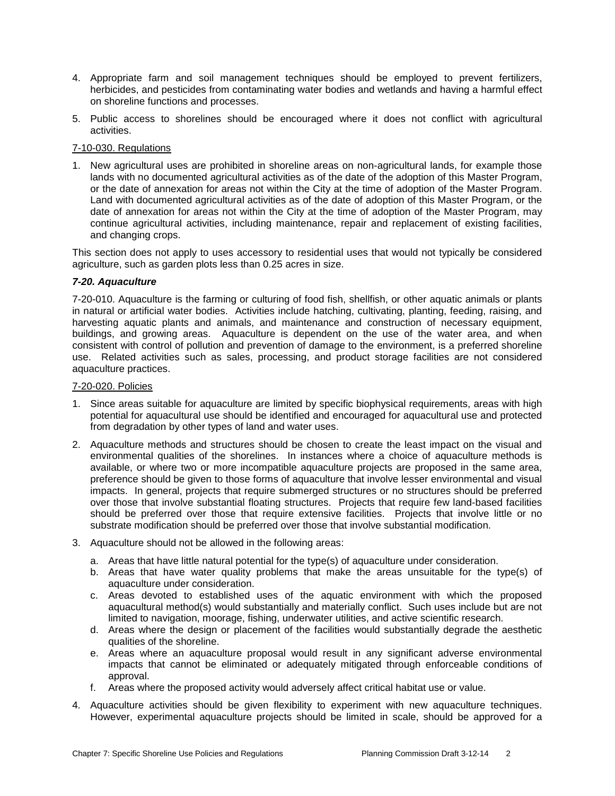- 4. Appropriate farm and soil management techniques should be employed to prevent fertilizers, herbicides, and pesticides from contaminating water bodies and wetlands and having a harmful effect on shoreline functions and processes.
- 5. Public access to shorelines should be encouraged where it does not conflict with agricultural activities.

## 7-10-030. Regulations

1. New agricultural uses are prohibited in shoreline areas on non-agricultural lands, for example those lands with no documented agricultural activities as of the date of the adoption of this Master Program, or the date of annexation for areas not within the City at the time of adoption of the Master Program. Land with documented agricultural activities as of the date of adoption of this Master Program, or the date of annexation for areas not within the City at the time of adoption of the Master Program, may continue agricultural activities, including maintenance, repair and replacement of existing facilities, and changing crops.

This section does not apply to uses accessory to residential uses that would not typically be considered agriculture, such as garden plots less than 0.25 acres in size.

## *7-20. Aquaculture*

7-20-010. Aquaculture is the farming or culturing of food fish, shellfish, or other aquatic animals or plants in natural or artificial water bodies. Activities include hatching, cultivating, planting, feeding, raising, and harvesting aquatic plants and animals, and maintenance and construction of necessary equipment, buildings, and growing areas. Aquaculture is dependent on the use of the water area, and when consistent with control of pollution and prevention of damage to the environment, is a preferred shoreline use. Related activities such as sales, processing, and product storage facilities are not considered aquaculture practices.

#### 7-20-020. Policies

- 1. Since areas suitable for aquaculture are limited by specific biophysical requirements, areas with high potential for aquacultural use should be identified and encouraged for aquacultural use and protected from degradation by other types of land and water uses.
- 2. Aquaculture methods and structures should be chosen to create the least impact on the visual and environmental qualities of the shorelines. In instances where a choice of aquaculture methods is available, or where two or more incompatible aquaculture projects are proposed in the same area, preference should be given to those forms of aquaculture that involve lesser environmental and visual impacts. In general, projects that require submerged structures or no structures should be preferred over those that involve substantial floating structures. Projects that require few land-based facilities should be preferred over those that require extensive facilities. Projects that involve little or no substrate modification should be preferred over those that involve substantial modification.
- 3. Aquaculture should not be allowed in the following areas:
	- a. Areas that have little natural potential for the type(s) of aquaculture under consideration.
	- b. Areas that have water quality problems that make the areas unsuitable for the type(s) of aquaculture under consideration.
	- c. Areas devoted to established uses of the aquatic environment with which the proposed aquacultural method(s) would substantially and materially conflict. Such uses include but are not limited to navigation, moorage, fishing, underwater utilities, and active scientific research.
	- d. Areas where the design or placement of the facilities would substantially degrade the aesthetic qualities of the shoreline.
	- e. Areas where an aquaculture proposal would result in any significant adverse environmental impacts that cannot be eliminated or adequately mitigated through enforceable conditions of approval.
	- f. Areas where the proposed activity would adversely affect critical habitat use or value.
- 4. Aquaculture activities should be given flexibility to experiment with new aquaculture techniques. However, experimental aquaculture projects should be limited in scale, should be approved for a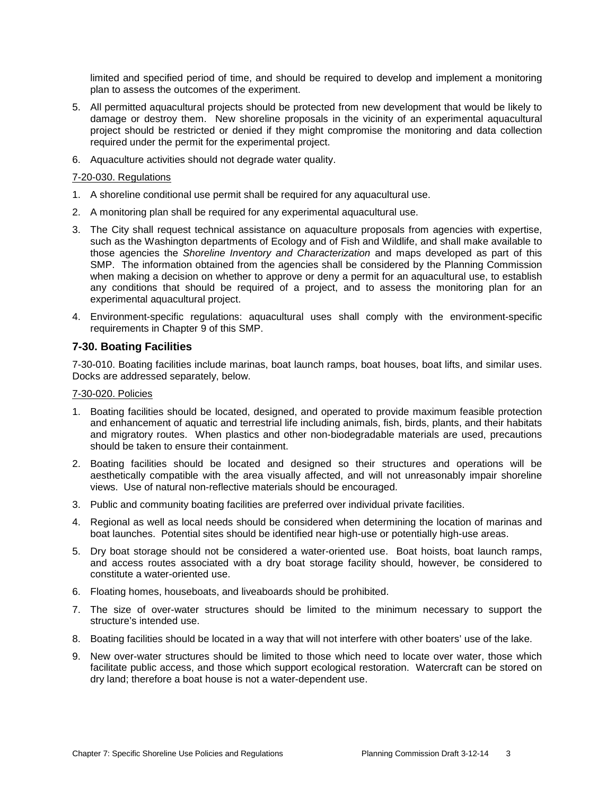limited and specified period of time, and should be required to develop and implement a monitoring plan to assess the outcomes of the experiment.

- 5. All permitted aquacultural projects should be protected from new development that would be likely to damage or destroy them. New shoreline proposals in the vicinity of an experimental aquacultural project should be restricted or denied if they might compromise the monitoring and data collection required under the permit for the experimental project.
- 6. Aquaculture activities should not degrade water quality.

## 7-20-030. Regulations

- 1. A shoreline conditional use permit shall be required for any aquacultural use.
- 2. A monitoring plan shall be required for any experimental aquacultural use.
- 3. The City shall request technical assistance on aquaculture proposals from agencies with expertise, such as the Washington departments of Ecology and of Fish and Wildlife, and shall make available to those agencies the *Shoreline Inventory and Characterization* and maps developed as part of this SMP. The information obtained from the agencies shall be considered by the Planning Commission when making a decision on whether to approve or deny a permit for an aquacultural use, to establish any conditions that should be required of a project, and to assess the monitoring plan for an experimental aquacultural project.
- 4. Environment-specific regulations: aquacultural uses shall comply with the environment-specific requirements in Chapter 9 of this SMP.

# **7-30. Boating Facilities**

7-30-010. Boating facilities include marinas, boat launch ramps, boat houses, boat lifts, and similar uses. Docks are addressed separately, below.

## 7-30-020. Policies

- 1. Boating facilities should be located, designed, and operated to provide maximum feasible protection and enhancement of aquatic and terrestrial life including animals, fish, birds, plants, and their habitats and migratory routes. When plastics and other non-biodegradable materials are used, precautions should be taken to ensure their containment.
- 2. Boating facilities should be located and designed so their structures and operations will be aesthetically compatible with the area visually affected, and will not unreasonably impair shoreline views. Use of natural non-reflective materials should be encouraged.
- 3. Public and community boating facilities are preferred over individual private facilities.
- 4. Regional as well as local needs should be considered when determining the location of marinas and boat launches. Potential sites should be identified near high-use or potentially high-use areas.
- 5. Dry boat storage should not be considered a water-oriented use. Boat hoists, boat launch ramps, and access routes associated with a dry boat storage facility should, however, be considered to constitute a water-oriented use.
- 6. Floating homes, houseboats, and liveaboards should be prohibited.
- 7. The size of over-water structures should be limited to the minimum necessary to support the structure's intended use.
- 8. Boating facilities should be located in a way that will not interfere with other boaters' use of the lake.
- 9. New over-water structures should be limited to those which need to locate over water, those which facilitate public access, and those which support ecological restoration. Watercraft can be stored on dry land; therefore a boat house is not a water-dependent use.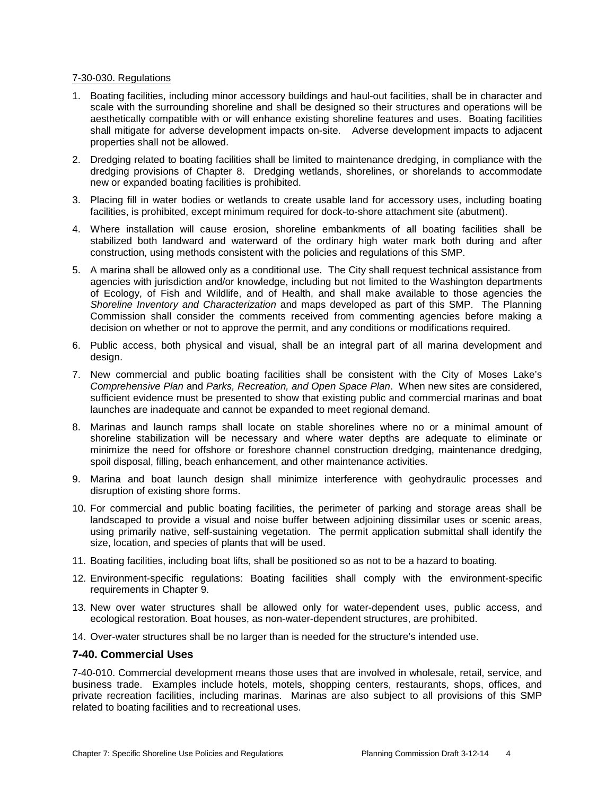#### 7-30-030. Regulations

- 1. Boating facilities, including minor accessory buildings and haul-out facilities, shall be in character and scale with the surrounding shoreline and shall be designed so their structures and operations will be aesthetically compatible with or will enhance existing shoreline features and uses. Boating facilities shall mitigate for adverse development impacts on-site. Adverse development impacts to adjacent properties shall not be allowed.
- 2. Dredging related to boating facilities shall be limited to maintenance dredging, in compliance with the dredging provisions of Chapter 8. Dredging wetlands, shorelines, or shorelands to accommodate new or expanded boating facilities is prohibited.
- 3. Placing fill in water bodies or wetlands to create usable land for accessory uses, including boating facilities, is prohibited, except minimum required for dock-to-shore attachment site (abutment).
- 4. Where installation will cause erosion, shoreline embankments of all boating facilities shall be stabilized both landward and waterward of the ordinary high water mark both during and after construction, using methods consistent with the policies and regulations of this SMP.
- 5. A marina shall be allowed only as a conditional use. The City shall request technical assistance from agencies with jurisdiction and/or knowledge, including but not limited to the Washington departments of Ecology, of Fish and Wildlife, and of Health, and shall make available to those agencies the *Shoreline Inventory and Characterization* and maps developed as part of this SMP. The Planning Commission shall consider the comments received from commenting agencies before making a decision on whether or not to approve the permit, and any conditions or modifications required.
- 6. Public access, both physical and visual, shall be an integral part of all marina development and design.
- 7. New commercial and public boating facilities shall be consistent with the City of Moses Lake's *Comprehensive Plan* and *Parks, Recreation, and Open Space Plan*. When new sites are considered, sufficient evidence must be presented to show that existing public and commercial marinas and boat launches are inadequate and cannot be expanded to meet regional demand.
- 8. Marinas and launch ramps shall locate on stable shorelines where no or a minimal amount of shoreline stabilization will be necessary and where water depths are adequate to eliminate or minimize the need for offshore or foreshore channel construction dredging, maintenance dredging, spoil disposal, filling, beach enhancement, and other maintenance activities.
- 9. Marina and boat launch design shall minimize interference with geohydraulic processes and disruption of existing shore forms.
- 10. For commercial and public boating facilities, the perimeter of parking and storage areas shall be landscaped to provide a visual and noise buffer between adjoining dissimilar uses or scenic areas, using primarily native, self-sustaining vegetation. The permit application submittal shall identify the size, location, and species of plants that will be used.
- 11. Boating facilities, including boat lifts, shall be positioned so as not to be a hazard to boating.
- 12. Environment-specific regulations: Boating facilities shall comply with the environment-specific requirements in Chapter 9.
- 13. New over water structures shall be allowed only for water-dependent uses, public access, and ecological restoration. Boat houses, as non-water-dependent structures, are prohibited.
- 14. Over-water structures shall be no larger than is needed for the structure's intended use.

#### **7-40. Commercial Uses**

7-40-010. Commercial development means those uses that are involved in wholesale, retail, service, and business trade. Examples include hotels, motels, shopping centers, restaurants, shops, offices, and private recreation facilities, including marinas. Marinas are also subject to all provisions of this SMP related to boating facilities and to recreational uses.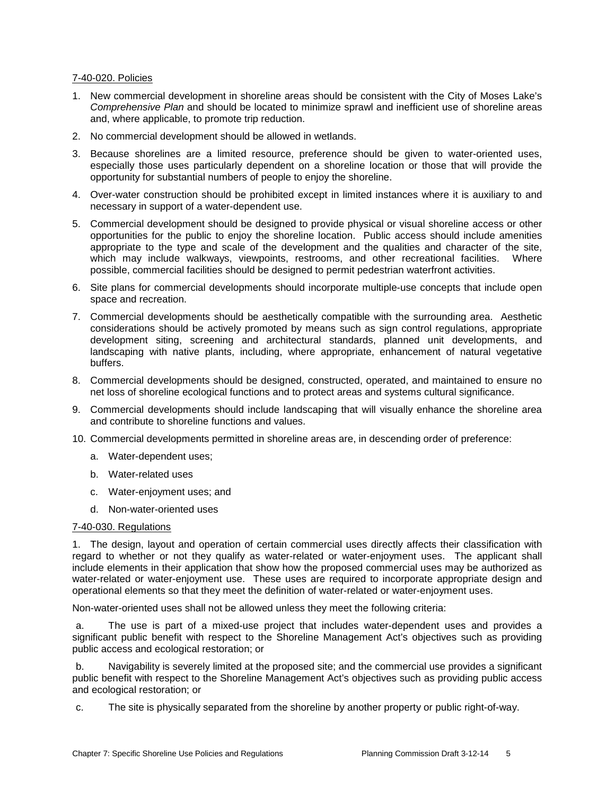#### 7-40-020. Policies

- 1. New commercial development in shoreline areas should be consistent with the City of Moses Lake's *Comprehensive Plan* and should be located to minimize sprawl and inefficient use of shoreline areas and, where applicable, to promote trip reduction.
- 2. No commercial development should be allowed in wetlands.
- 3. Because shorelines are a limited resource, preference should be given to water-oriented uses, especially those uses particularly dependent on a shoreline location or those that will provide the opportunity for substantial numbers of people to enjoy the shoreline.
- 4. Over-water construction should be prohibited except in limited instances where it is auxiliary to and necessary in support of a water-dependent use.
- 5. Commercial development should be designed to provide physical or visual shoreline access or other opportunities for the public to enjoy the shoreline location. Public access should include amenities appropriate to the type and scale of the development and the qualities and character of the site, which may include walkways, viewpoints, restrooms, and other recreational facilities. Where possible, commercial facilities should be designed to permit pedestrian waterfront activities.
- 6. Site plans for commercial developments should incorporate multiple-use concepts that include open space and recreation.
- 7. Commercial developments should be aesthetically compatible with the surrounding area. Aesthetic considerations should be actively promoted by means such as sign control regulations, appropriate development siting, screening and architectural standards, planned unit developments, and landscaping with native plants, including, where appropriate, enhancement of natural vegetative buffers.
- 8. Commercial developments should be designed, constructed, operated, and maintained to ensure no net loss of shoreline ecological functions and to protect areas and systems cultural significance.
- 9. Commercial developments should include landscaping that will visually enhance the shoreline area and contribute to shoreline functions and values.
- 10. Commercial developments permitted in shoreline areas are, in descending order of preference:
	- a. Water-dependent uses;
	- b. Water-related uses
	- c. Water-enjoyment uses; and
	- d. Non-water-oriented uses

#### 7-40-030. Regulations

1. The design, layout and operation of certain commercial uses directly affects their classification with regard to whether or not they qualify as water-related or water-enjoyment uses. The applicant shall include elements in their application that show how the proposed commercial uses may be authorized as water-related or water-enjoyment use. These uses are required to incorporate appropriate design and operational elements so that they meet the definition of water-related or water-enjoyment uses.

Non-water-oriented uses shall not be allowed unless they meet the following criteria:

a. The use is part of a mixed-use project that includes water-dependent uses and provides a significant public benefit with respect to the Shoreline Management Act's objectives such as providing public access and ecological restoration; or

b. Navigability is severely limited at the proposed site; and the commercial use provides a significant public benefit with respect to the Shoreline Management Act's objectives such as providing public access and ecological restoration; or

c. The site is physically separated from the shoreline by another property or public right-of-way.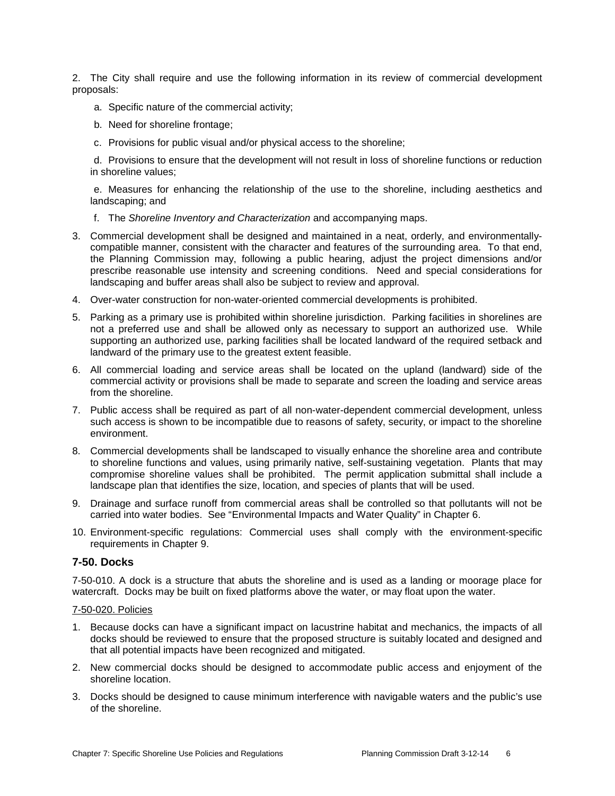2. The City shall require and use the following information in its review of commercial development proposals:

- a. Specific nature of the commercial activity;
- b. Need for shoreline frontage;
- c. Provisions for public visual and/or physical access to the shoreline;

d. Provisions to ensure that the development will not result in loss of shoreline functions or reduction in shoreline values;

e. Measures for enhancing the relationship of the use to the shoreline, including aesthetics and landscaping; and

- f. The *Shoreline Inventory and Characterization* and accompanying maps.
- 3. Commercial development shall be designed and maintained in a neat, orderly, and environmentallycompatible manner, consistent with the character and features of the surrounding area. To that end, the Planning Commission may, following a public hearing, adjust the project dimensions and/or prescribe reasonable use intensity and screening conditions. Need and special considerations for landscaping and buffer areas shall also be subject to review and approval.
- 4. Over-water construction for non-water-oriented commercial developments is prohibited.
- 5. Parking as a primary use is prohibited within shoreline jurisdiction. Parking facilities in shorelines are not a preferred use and shall be allowed only as necessary to support an authorized use. While supporting an authorized use, parking facilities shall be located landward of the required setback and landward of the primary use to the greatest extent feasible.
- 6. All commercial loading and service areas shall be located on the upland (landward) side of the commercial activity or provisions shall be made to separate and screen the loading and service areas from the shoreline.
- 7. Public access shall be required as part of all non-water-dependent commercial development, unless such access is shown to be incompatible due to reasons of safety, security, or impact to the shoreline environment.
- 8. Commercial developments shall be landscaped to visually enhance the shoreline area and contribute to shoreline functions and values, using primarily native, self-sustaining vegetation. Plants that may compromise shoreline values shall be prohibited. The permit application submittal shall include a landscape plan that identifies the size, location, and species of plants that will be used.
- 9. Drainage and surface runoff from commercial areas shall be controlled so that pollutants will not be carried into water bodies. See "Environmental Impacts and Water Quality" in Chapter 6.
- 10. Environment-specific regulations: Commercial uses shall comply with the environment-specific requirements in Chapter 9.

#### **7-50. Docks**

7-50-010. A dock is a structure that abuts the shoreline and is used as a landing or moorage place for watercraft. Docks may be built on fixed platforms above the water, or may float upon the water.

#### 7-50-020. Policies

- 1. Because docks can have a significant impact on lacustrine habitat and mechanics, the impacts of all docks should be reviewed to ensure that the proposed structure is suitably located and designed and that all potential impacts have been recognized and mitigated.
- 2. New commercial docks should be designed to accommodate public access and enjoyment of the shoreline location.
- 3. Docks should be designed to cause minimum interference with navigable waters and the public's use of the shoreline.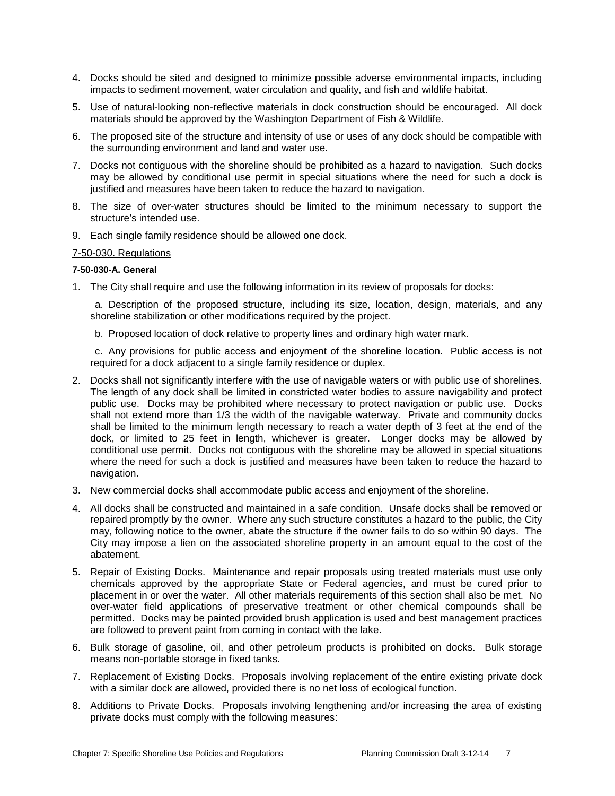- 4. Docks should be sited and designed to minimize possible adverse environmental impacts, including impacts to sediment movement, water circulation and quality, and fish and wildlife habitat.
- 5. Use of natural-looking non-reflective materials in dock construction should be encouraged. All dock materials should be approved by the Washington Department of Fish & Wildlife.
- 6. The proposed site of the structure and intensity of use or uses of any dock should be compatible with the surrounding environment and land and water use.
- 7. Docks not contiguous with the shoreline should be prohibited as a hazard to navigation. Such docks may be allowed by conditional use permit in special situations where the need for such a dock is justified and measures have been taken to reduce the hazard to navigation.
- 8. The size of over-water structures should be limited to the minimum necessary to support the structure's intended use.
- 9. Each single family residence should be allowed one dock.

#### 7-50-030. Regulations

#### **7-50-030-A. General**

1. The City shall require and use the following information in its review of proposals for docks:

a. Description of the proposed structure, including its size, location, design, materials, and any shoreline stabilization or other modifications required by the project.

b. Proposed location of dock relative to property lines and ordinary high water mark.

c. Any provisions for public access and enjoyment of the shoreline location. Public access is not required for a dock adjacent to a single family residence or duplex.

- 2. Docks shall not significantly interfere with the use of navigable waters or with public use of shorelines. The length of any dock shall be limited in constricted water bodies to assure navigability and protect public use. Docks may be prohibited where necessary to protect navigation or public use. Docks shall not extend more than 1/3 the width of the navigable waterway. Private and community docks shall be limited to the minimum length necessary to reach a water depth of 3 feet at the end of the dock, or limited to 25 feet in length, whichever is greater. Longer docks may be allowed by conditional use permit. Docks not contiguous with the shoreline may be allowed in special situations where the need for such a dock is justified and measures have been taken to reduce the hazard to navigation.
- 3. New commercial docks shall accommodate public access and enjoyment of the shoreline.
- 4. All docks shall be constructed and maintained in a safe condition. Unsafe docks shall be removed or repaired promptly by the owner. Where any such structure constitutes a hazard to the public, the City may, following notice to the owner, abate the structure if the owner fails to do so within 90 days. The City may impose a lien on the associated shoreline property in an amount equal to the cost of the abatement.
- 5. Repair of Existing Docks. Maintenance and repair proposals using treated materials must use only chemicals approved by the appropriate State or Federal agencies, and must be cured prior to placement in or over the water. All other materials requirements of this section shall also be met. No over-water field applications of preservative treatment or other chemical compounds shall be permitted. Docks may be painted provided brush application is used and best management practices are followed to prevent paint from coming in contact with the lake.
- 6. Bulk storage of gasoline, oil, and other petroleum products is prohibited on docks. Bulk storage means non-portable storage in fixed tanks.
- 7. Replacement of Existing Docks. Proposals involving replacement of the entire existing private dock with a similar dock are allowed, provided there is no net loss of ecological function.
- 8. Additions to Private Docks. Proposals involving lengthening and/or increasing the area of existing private docks must comply with the following measures: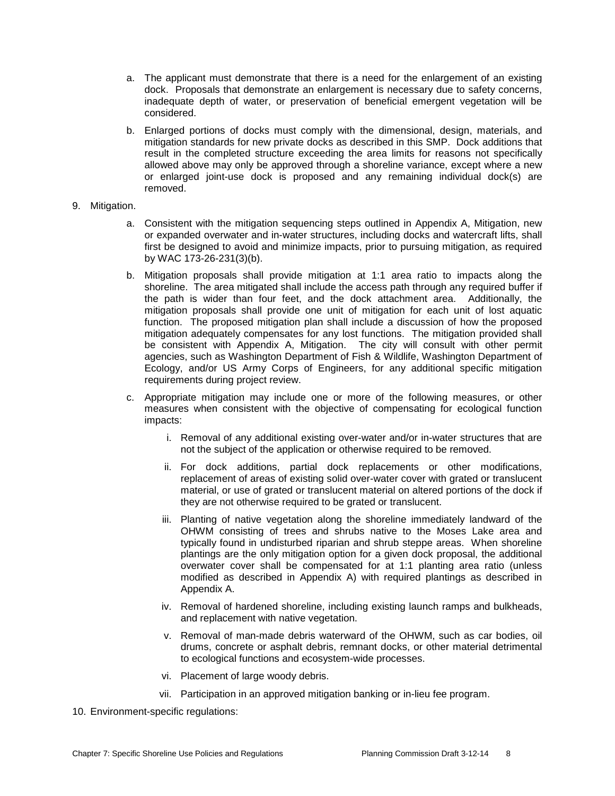- a. The applicant must demonstrate that there is a need for the enlargement of an existing dock. Proposals that demonstrate an enlargement is necessary due to safety concerns, inadequate depth of water, or preservation of beneficial emergent vegetation will be considered.
- b. Enlarged portions of docks must comply with the dimensional, design, materials, and mitigation standards for new private docks as described in this SMP. Dock additions that result in the completed structure exceeding the area limits for reasons not specifically allowed above may only be approved through a shoreline variance, except where a new or enlarged joint-use dock is proposed and any remaining individual dock(s) are removed.
- 9. Mitigation.
	- a. Consistent with the mitigation sequencing steps outlined in Appendix A, Mitigation, new or expanded overwater and in-water structures, including docks and watercraft lifts, shall first be designed to avoid and minimize impacts, prior to pursuing mitigation, as required by WAC 173-26-231(3)(b).
	- b. Mitigation proposals shall provide mitigation at 1:1 area ratio to impacts along the shoreline. The area mitigated shall include the access path through any required buffer if the path is wider than four feet, and the dock attachment area. Additionally, the mitigation proposals shall provide one unit of mitigation for each unit of lost aquatic function. The proposed mitigation plan shall include a discussion of how the proposed mitigation adequately compensates for any lost functions. The mitigation provided shall be consistent with Appendix A, Mitigation. The city will consult with other permit agencies, such as Washington Department of Fish & Wildlife, Washington Department of Ecology, and/or US Army Corps of Engineers, for any additional specific mitigation requirements during project review.
	- c. Appropriate mitigation may include one or more of the following measures, or other measures when consistent with the objective of compensating for ecological function impacts:
		- i. Removal of any additional existing over-water and/or in-water structures that are not the subject of the application or otherwise required to be removed.
		- ii. For dock additions, partial dock replacements or other modifications, replacement of areas of existing solid over-water cover with grated or translucent material, or use of grated or translucent material on altered portions of the dock if they are not otherwise required to be grated or translucent.
		- iii. Planting of native vegetation along the shoreline immediately landward of the OHWM consisting of trees and shrubs native to the Moses Lake area and typically found in undisturbed riparian and shrub steppe areas. When shoreline plantings are the only mitigation option for a given dock proposal, the additional overwater cover shall be compensated for at 1:1 planting area ratio (unless modified as described in Appendix A) with required plantings as described in Appendix A.
		- iv. Removal of hardened shoreline, including existing launch ramps and bulkheads, and replacement with native vegetation.
		- v. Removal of man-made debris waterward of the OHWM, such as car bodies, oil drums, concrete or asphalt debris, remnant docks, or other material detrimental to ecological functions and ecosystem-wide processes.
		- vi. Placement of large woody debris.
		- vii. Participation in an approved mitigation banking or in-lieu fee program.
- 10. Environment-specific regulations: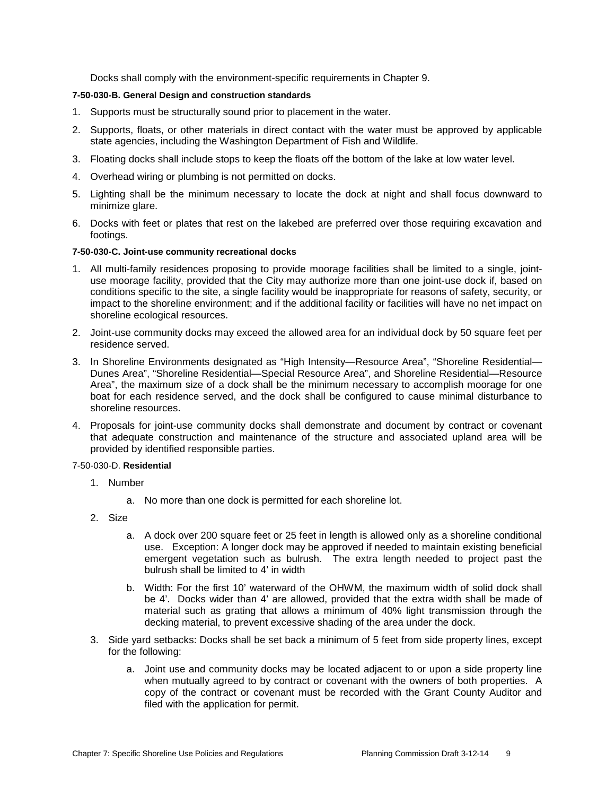Docks shall comply with the environment-specific requirements in Chapter 9.

#### **7-50-030-B. General Design and construction standards**

- 1. Supports must be structurally sound prior to placement in the water.
- 2. Supports, floats, or other materials in direct contact with the water must be approved by applicable state agencies, including the Washington Department of Fish and Wildlife.
- 3. Floating docks shall include stops to keep the floats off the bottom of the lake at low water level.
- 4. Overhead wiring or plumbing is not permitted on docks.
- 5. Lighting shall be the minimum necessary to locate the dock at night and shall focus downward to minimize glare.
- 6. Docks with feet or plates that rest on the lakebed are preferred over those requiring excavation and footings.

#### **7-50-030-C. Joint-use community recreational docks**

- 1. All multi-family residences proposing to provide moorage facilities shall be limited to a single, jointuse moorage facility, provided that the City may authorize more than one joint-use dock if, based on conditions specific to the site, a single facility would be inappropriate for reasons of safety, security, or impact to the shoreline environment; and if the additional facility or facilities will have no net impact on shoreline ecological resources.
- 2. Joint-use community docks may exceed the allowed area for an individual dock by 50 square feet per residence served.
- 3. In Shoreline Environments designated as "High Intensity—Resource Area", "Shoreline Residential— Dunes Area", "Shoreline Residential—Special Resource Area", and Shoreline Residential—Resource Area", the maximum size of a dock shall be the minimum necessary to accomplish moorage for one boat for each residence served, and the dock shall be configured to cause minimal disturbance to shoreline resources.
- 4. Proposals for joint-use community docks shall demonstrate and document by contract or covenant that adequate construction and maintenance of the structure and associated upland area will be provided by identified responsible parties.

#### 7-50-030-D. **Residential**

- 1. Number
	- a. No more than one dock is permitted for each shoreline lot.
- 2. Size
	- a. A dock over 200 square feet or 25 feet in length is allowed only as a shoreline conditional use. Exception: A longer dock may be approved if needed to maintain existing beneficial emergent vegetation such as bulrush. The extra length needed to project past the bulrush shall be limited to 4' in width
	- b. Width: For the first 10' waterward of the OHWM, the maximum width of solid dock shall be 4'. Docks wider than 4' are allowed, provided that the extra width shall be made of material such as grating that allows a minimum of 40% light transmission through the decking material, to prevent excessive shading of the area under the dock.
- 3. Side yard setbacks: Docks shall be set back a minimum of 5 feet from side property lines, except for the following:
	- a. Joint use and community docks may be located adjacent to or upon a side property line when mutually agreed to by contract or covenant with the owners of both properties. A copy of the contract or covenant must be recorded with the Grant County Auditor and filed with the application for permit.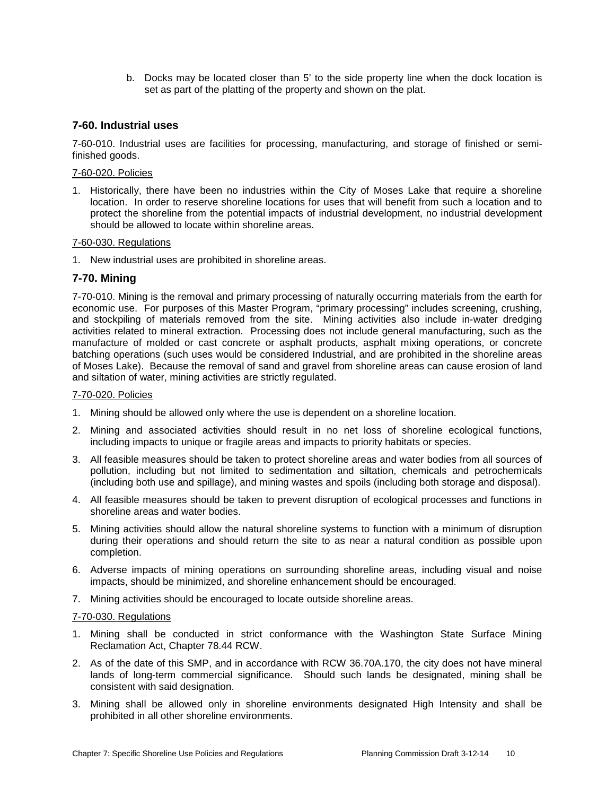b. Docks may be located closer than 5' to the side property line when the dock location is set as part of the platting of the property and shown on the plat.

## **7-60. Industrial uses**

7-60-010. Industrial uses are facilities for processing, manufacturing, and storage of finished or semifinished goods.

#### 7-60-020. Policies

1. Historically, there have been no industries within the City of Moses Lake that require a shoreline location. In order to reserve shoreline locations for uses that will benefit from such a location and to protect the shoreline from the potential impacts of industrial development, no industrial development should be allowed to locate within shoreline areas.

#### 7-60-030. Regulations

1. New industrial uses are prohibited in shoreline areas.

## **7-70. Mining**

7-70-010. Mining is the removal and primary processing of naturally occurring materials from the earth for economic use. For purposes of this Master Program, "primary processing" includes screening, crushing, and stockpiling of materials removed from the site. Mining activities also include in-water dredging activities related to mineral extraction. Processing does not include general manufacturing, such as the manufacture of molded or cast concrete or asphalt products, asphalt mixing operations, or concrete batching operations (such uses would be considered Industrial, and are prohibited in the shoreline areas of Moses Lake). Because the removal of sand and gravel from shoreline areas can cause erosion of land and siltation of water, mining activities are strictly regulated.

#### 7-70-020. Policies

- 1. Mining should be allowed only where the use is dependent on a shoreline location.
- 2. Mining and associated activities should result in no net loss of shoreline ecological functions, including impacts to unique or fragile areas and impacts to priority habitats or species.
- 3. All feasible measures should be taken to protect shoreline areas and water bodies from all sources of pollution, including but not limited to sedimentation and siltation, chemicals and petrochemicals (including both use and spillage), and mining wastes and spoils (including both storage and disposal).
- 4. All feasible measures should be taken to prevent disruption of ecological processes and functions in shoreline areas and water bodies.
- 5. Mining activities should allow the natural shoreline systems to function with a minimum of disruption during their operations and should return the site to as near a natural condition as possible upon completion.
- 6. Adverse impacts of mining operations on surrounding shoreline areas, including visual and noise impacts, should be minimized, and shoreline enhancement should be encouraged.
- 7. Mining activities should be encouraged to locate outside shoreline areas.

#### 7-70-030. Regulations

- 1. Mining shall be conducted in strict conformance with the Washington State Surface Mining Reclamation Act, Chapter 78.44 RCW.
- 2. As of the date of this SMP, and in accordance with RCW 36.70A.170, the city does not have mineral lands of long-term commercial significance. Should such lands be designated, mining shall be consistent with said designation.
- 3. Mining shall be allowed only in shoreline environments designated High Intensity and shall be prohibited in all other shoreline environments.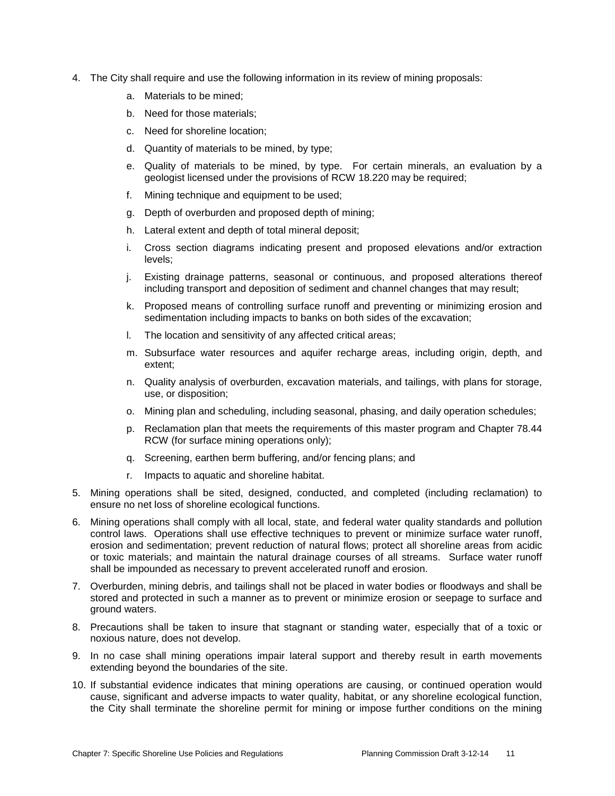- 4. The City shall require and use the following information in its review of mining proposals:
	- a. Materials to be mined;
	- b. Need for those materials;
	- c. Need for shoreline location;
	- d. Quantity of materials to be mined, by type;
	- e. Quality of materials to be mined, by type. For certain minerals, an evaluation by a geologist licensed under the provisions of RCW 18.220 may be required;
	- f. Mining technique and equipment to be used;
	- g. Depth of overburden and proposed depth of mining;
	- h. Lateral extent and depth of total mineral deposit;
	- i. Cross section diagrams indicating present and proposed elevations and/or extraction levels;
	- j. Existing drainage patterns, seasonal or continuous, and proposed alterations thereof including transport and deposition of sediment and channel changes that may result;
	- k. Proposed means of controlling surface runoff and preventing or minimizing erosion and sedimentation including impacts to banks on both sides of the excavation;
	- l. The location and sensitivity of any affected critical areas;
	- m. Subsurface water resources and aquifer recharge areas, including origin, depth, and extent;
	- n. Quality analysis of overburden, excavation materials, and tailings, with plans for storage, use, or disposition;
	- o. Mining plan and scheduling, including seasonal, phasing, and daily operation schedules;
	- p. Reclamation plan that meets the requirements of this master program and Chapter 78.44 RCW (for surface mining operations only);
	- q. Screening, earthen berm buffering, and/or fencing plans; and
	- r. Impacts to aquatic and shoreline habitat.
- 5. Mining operations shall be sited, designed, conducted, and completed (including reclamation) to ensure no net loss of shoreline ecological functions.
- 6. Mining operations shall comply with all local, state, and federal water quality standards and pollution control laws. Operations shall use effective techniques to prevent or minimize surface water runoff, erosion and sedimentation; prevent reduction of natural flows; protect all shoreline areas from acidic or toxic materials; and maintain the natural drainage courses of all streams. Surface water runoff shall be impounded as necessary to prevent accelerated runoff and erosion.
- 7. Overburden, mining debris, and tailings shall not be placed in water bodies or floodways and shall be stored and protected in such a manner as to prevent or minimize erosion or seepage to surface and ground waters.
- 8. Precautions shall be taken to insure that stagnant or standing water, especially that of a toxic or noxious nature, does not develop.
- 9. In no case shall mining operations impair lateral support and thereby result in earth movements extending beyond the boundaries of the site.
- 10. If substantial evidence indicates that mining operations are causing, or continued operation would cause, significant and adverse impacts to water quality, habitat, or any shoreline ecological function, the City shall terminate the shoreline permit for mining or impose further conditions on the mining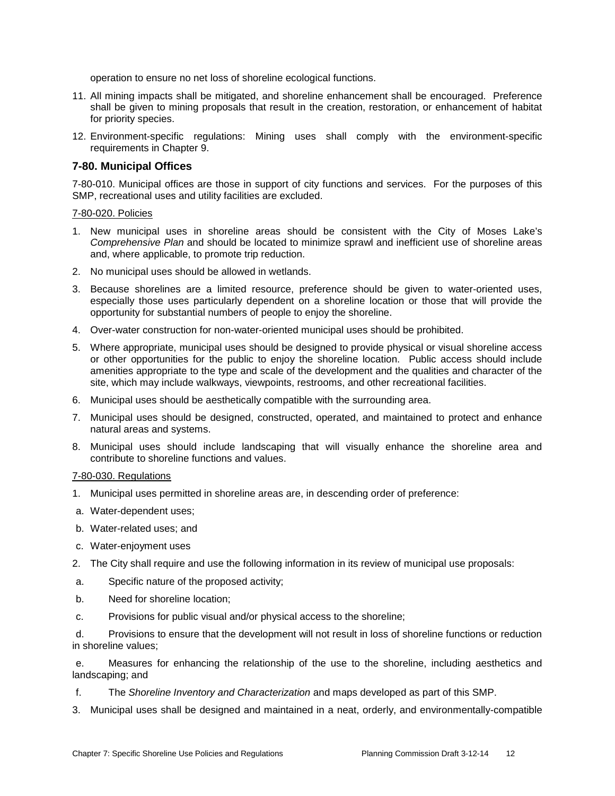operation to ensure no net loss of shoreline ecological functions.

- 11. All mining impacts shall be mitigated, and shoreline enhancement shall be encouraged. Preference shall be given to mining proposals that result in the creation, restoration, or enhancement of habitat for priority species.
- 12. Environment-specific regulations: Mining uses shall comply with the environment-specific requirements in Chapter 9.

## **7-80. Municipal Offices**

7-80-010. Municipal offices are those in support of city functions and services. For the purposes of this SMP, recreational uses and utility facilities are excluded.

#### 7-80-020. Policies

- 1. New municipal uses in shoreline areas should be consistent with the City of Moses Lake's *Comprehensive Plan* and should be located to minimize sprawl and inefficient use of shoreline areas and, where applicable, to promote trip reduction.
- 2. No municipal uses should be allowed in wetlands.
- 3. Because shorelines are a limited resource, preference should be given to water-oriented uses, especially those uses particularly dependent on a shoreline location or those that will provide the opportunity for substantial numbers of people to enjoy the shoreline.
- 4. Over-water construction for non-water-oriented municipal uses should be prohibited.
- 5. Where appropriate, municipal uses should be designed to provide physical or visual shoreline access or other opportunities for the public to enjoy the shoreline location. Public access should include amenities appropriate to the type and scale of the development and the qualities and character of the site, which may include walkways, viewpoints, restrooms, and other recreational facilities.
- 6. Municipal uses should be aesthetically compatible with the surrounding area.
- 7. Municipal uses should be designed, constructed, operated, and maintained to protect and enhance natural areas and systems.
- 8. Municipal uses should include landscaping that will visually enhance the shoreline area and contribute to shoreline functions and values.

#### 7-80-030. Regulations

- 1. Municipal uses permitted in shoreline areas are, in descending order of preference:
- a. Water-dependent uses;
- b. Water-related uses; and
- c. Water-enjoyment uses
- 2. The City shall require and use the following information in its review of municipal use proposals:
- a. Specific nature of the proposed activity;
- b. Need for shoreline location;
- c. Provisions for public visual and/or physical access to the shoreline;

d. Provisions to ensure that the development will not result in loss of shoreline functions or reduction in shoreline values;

e. Measures for enhancing the relationship of the use to the shoreline, including aesthetics and landscaping; and

- f. The *Shoreline Inventory and Characterization* and maps developed as part of this SMP.
- 3. Municipal uses shall be designed and maintained in a neat, orderly, and environmentally-compatible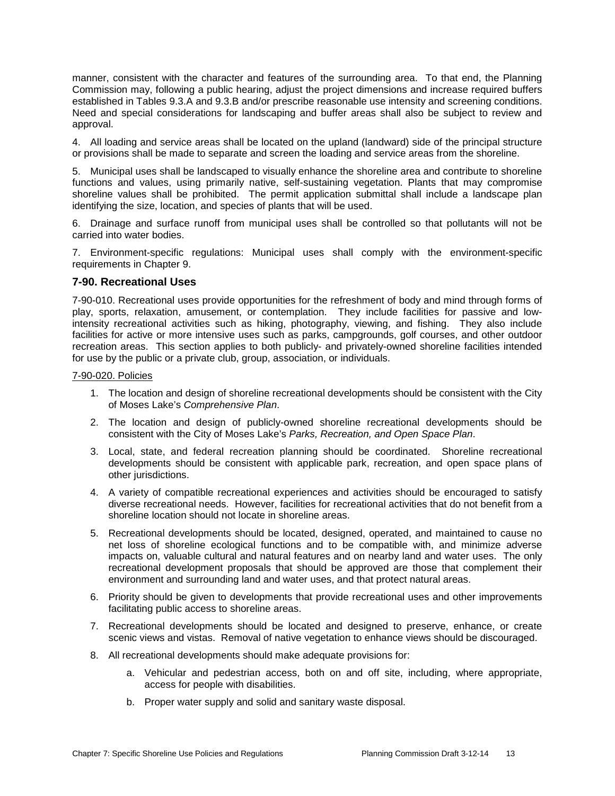manner, consistent with the character and features of the surrounding area. To that end, the Planning Commission may, following a public hearing, adjust the project dimensions and increase required buffers established in Tables 9.3.A and 9.3.B and/or prescribe reasonable use intensity and screening conditions. Need and special considerations for landscaping and buffer areas shall also be subject to review and approval.

4. All loading and service areas shall be located on the upland (landward) side of the principal structure or provisions shall be made to separate and screen the loading and service areas from the shoreline.

5. Municipal uses shall be landscaped to visually enhance the shoreline area and contribute to shoreline functions and values, using primarily native, self-sustaining vegetation. Plants that may compromise shoreline values shall be prohibited. The permit application submittal shall include a landscape plan identifying the size, location, and species of plants that will be used.

6. Drainage and surface runoff from municipal uses shall be controlled so that pollutants will not be carried into water bodies.

7. Environment-specific regulations: Municipal uses shall comply with the environment-specific requirements in Chapter 9.

#### **7-90. Recreational Uses**

7-90-010. Recreational uses provide opportunities for the refreshment of body and mind through forms of play, sports, relaxation, amusement, or contemplation. They include facilities for passive and lowintensity recreational activities such as hiking, photography, viewing, and fishing. They also include facilities for active or more intensive uses such as parks, campgrounds, golf courses, and other outdoor recreation areas. This section applies to both publicly- and privately-owned shoreline facilities intended for use by the public or a private club, group, association, or individuals.

#### 7-90-020. Policies

- 1. The location and design of shoreline recreational developments should be consistent with the City of Moses Lake's *Comprehensive Plan*.
- 2. The location and design of publicly-owned shoreline recreational developments should be consistent with the City of Moses Lake's *Parks, Recreation, and Open Space Plan*.
- 3. Local, state, and federal recreation planning should be coordinated. Shoreline recreational developments should be consistent with applicable park, recreation, and open space plans of other jurisdictions.
- 4. A variety of compatible recreational experiences and activities should be encouraged to satisfy diverse recreational needs. However, facilities for recreational activities that do not benefit from a shoreline location should not locate in shoreline areas.
- 5. Recreational developments should be located, designed, operated, and maintained to cause no net loss of shoreline ecological functions and to be compatible with, and minimize adverse impacts on, valuable cultural and natural features and on nearby land and water uses. The only recreational development proposals that should be approved are those that complement their environment and surrounding land and water uses, and that protect natural areas.
- 6. Priority should be given to developments that provide recreational uses and other improvements facilitating public access to shoreline areas.
- 7. Recreational developments should be located and designed to preserve, enhance, or create scenic views and vistas. Removal of native vegetation to enhance views should be discouraged.
- 8. All recreational developments should make adequate provisions for:
	- a. Vehicular and pedestrian access, both on and off site, including, where appropriate, access for people with disabilities.
	- b. Proper water supply and solid and sanitary waste disposal.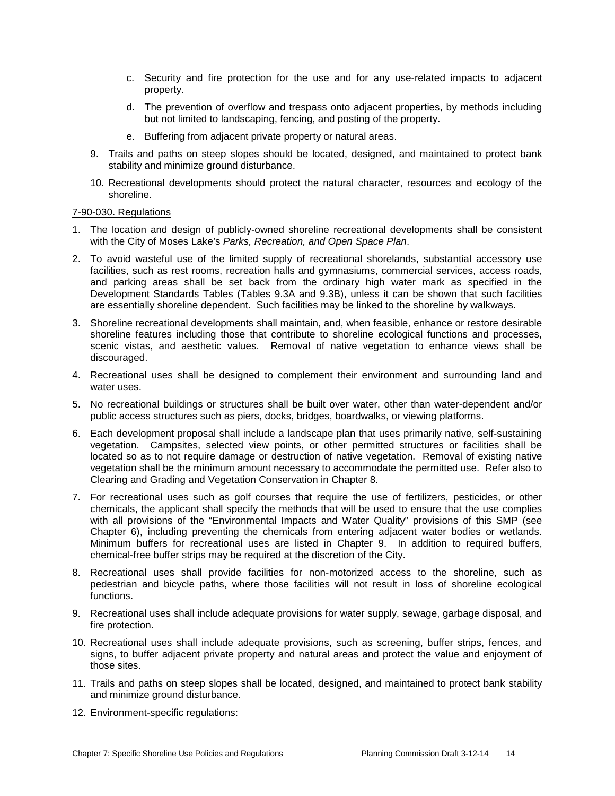- c. Security and fire protection for the use and for any use-related impacts to adjacent property.
- d. The prevention of overflow and trespass onto adjacent properties, by methods including but not limited to landscaping, fencing, and posting of the property.
- e. Buffering from adjacent private property or natural areas.
- 9. Trails and paths on steep slopes should be located, designed, and maintained to protect bank stability and minimize ground disturbance.
- 10. Recreational developments should protect the natural character, resources and ecology of the shoreline.

#### 7-90-030. Regulations

- 1. The location and design of publicly-owned shoreline recreational developments shall be consistent with the City of Moses Lake's *Parks, Recreation, and Open Space Plan*.
- 2. To avoid wasteful use of the limited supply of recreational shorelands, substantial accessory use facilities, such as rest rooms, recreation halls and gymnasiums, commercial services, access roads, and parking areas shall be set back from the ordinary high water mark as specified in the Development Standards Tables (Tables 9.3A and 9.3B), unless it can be shown that such facilities are essentially shoreline dependent. Such facilities may be linked to the shoreline by walkways.
- 3. Shoreline recreational developments shall maintain, and, when feasible, enhance or restore desirable shoreline features including those that contribute to shoreline ecological functions and processes, scenic vistas, and aesthetic values. Removal of native vegetation to enhance views shall be discouraged.
- 4. Recreational uses shall be designed to complement their environment and surrounding land and water uses.
- 5. No recreational buildings or structures shall be built over water, other than water-dependent and/or public access structures such as piers, docks, bridges, boardwalks, or viewing platforms.
- 6. Each development proposal shall include a landscape plan that uses primarily native, self-sustaining vegetation. Campsites, selected view points, or other permitted structures or facilities shall be located so as to not require damage or destruction of native vegetation. Removal of existing native vegetation shall be the minimum amount necessary to accommodate the permitted use. Refer also to Clearing and Grading and Vegetation Conservation in Chapter 8.
- 7. For recreational uses such as golf courses that require the use of fertilizers, pesticides, or other chemicals, the applicant shall specify the methods that will be used to ensure that the use complies with all provisions of the "Environmental Impacts and Water Quality" provisions of this SMP (see Chapter 6), including preventing the chemicals from entering adjacent water bodies or wetlands. Minimum buffers for recreational uses are listed in Chapter 9. In addition to required buffers, chemical-free buffer strips may be required at the discretion of the City.
- 8. Recreational uses shall provide facilities for non-motorized access to the shoreline, such as pedestrian and bicycle paths, where those facilities will not result in loss of shoreline ecological functions.
- 9. Recreational uses shall include adequate provisions for water supply, sewage, garbage disposal, and fire protection.
- 10. Recreational uses shall include adequate provisions, such as screening, buffer strips, fences, and signs, to buffer adjacent private property and natural areas and protect the value and enjoyment of those sites.
- 11. Trails and paths on steep slopes shall be located, designed, and maintained to protect bank stability and minimize ground disturbance.
- 12. Environment-specific regulations: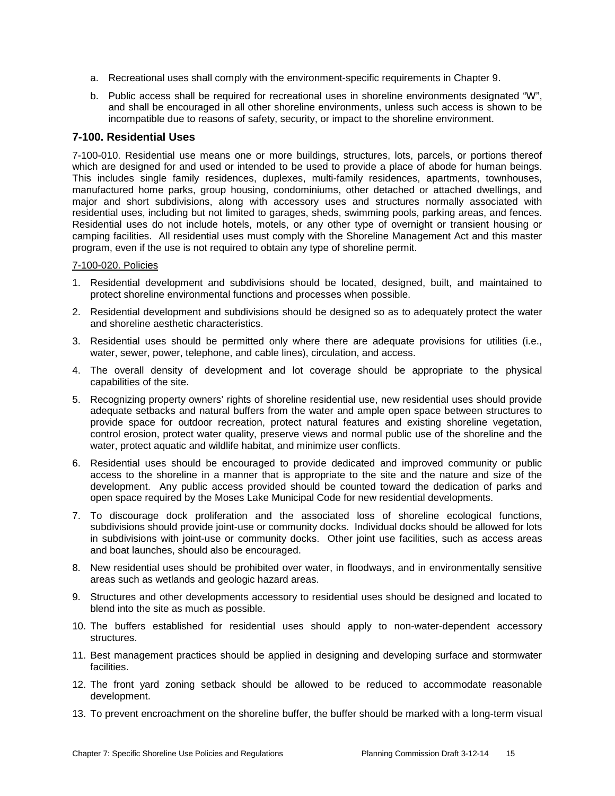- a. Recreational uses shall comply with the environment-specific requirements in Chapter 9.
- b. Public access shall be required for recreational uses in shoreline environments designated "W", and shall be encouraged in all other shoreline environments, unless such access is shown to be incompatible due to reasons of safety, security, or impact to the shoreline environment.

# **7-100. Residential Uses**

7-100-010. Residential use means one or more buildings, structures, lots, parcels, or portions thereof which are designed for and used or intended to be used to provide a place of abode for human beings. This includes single family residences, duplexes, multi-family residences, apartments, townhouses, manufactured home parks, group housing, condominiums, other detached or attached dwellings, and major and short subdivisions, along with accessory uses and structures normally associated with residential uses, including but not limited to garages, sheds, swimming pools, parking areas, and fences. Residential uses do not include hotels, motels, or any other type of overnight or transient housing or camping facilities. All residential uses must comply with the Shoreline Management Act and this master program, even if the use is not required to obtain any type of shoreline permit.

#### 7-100-020. Policies

- 1. Residential development and subdivisions should be located, designed, built, and maintained to protect shoreline environmental functions and processes when possible.
- 2. Residential development and subdivisions should be designed so as to adequately protect the water and shoreline aesthetic characteristics.
- 3. Residential uses should be permitted only where there are adequate provisions for utilities (i.e., water, sewer, power, telephone, and cable lines), circulation, and access.
- 4. The overall density of development and lot coverage should be appropriate to the physical capabilities of the site.
- 5. Recognizing property owners' rights of shoreline residential use, new residential uses should provide adequate setbacks and natural buffers from the water and ample open space between structures to provide space for outdoor recreation, protect natural features and existing shoreline vegetation, control erosion, protect water quality, preserve views and normal public use of the shoreline and the water, protect aquatic and wildlife habitat, and minimize user conflicts.
- 6. Residential uses should be encouraged to provide dedicated and improved community or public access to the shoreline in a manner that is appropriate to the site and the nature and size of the development. Any public access provided should be counted toward the dedication of parks and open space required by the Moses Lake Municipal Code for new residential developments.
- 7. To discourage dock proliferation and the associated loss of shoreline ecological functions, subdivisions should provide joint-use or community docks. Individual docks should be allowed for lots in subdivisions with joint-use or community docks. Other joint use facilities, such as access areas and boat launches, should also be encouraged.
- 8. New residential uses should be prohibited over water, in floodways, and in environmentally sensitive areas such as wetlands and geologic hazard areas.
- 9. Structures and other developments accessory to residential uses should be designed and located to blend into the site as much as possible.
- 10. The buffers established for residential uses should apply to non-water-dependent accessory structures.
- 11. Best management practices should be applied in designing and developing surface and stormwater facilities.
- 12. The front yard zoning setback should be allowed to be reduced to accommodate reasonable development.
- 13. To prevent encroachment on the shoreline buffer, the buffer should be marked with a long-term visual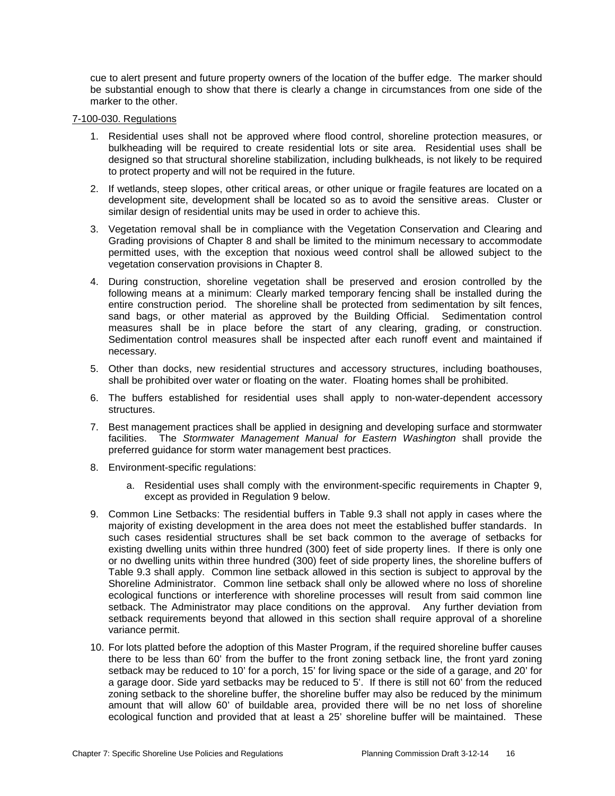cue to alert present and future property owners of the location of the buffer edge. The marker should be substantial enough to show that there is clearly a change in circumstances from one side of the marker to the other.

#### 7-100-030. Regulations

- 1. Residential uses shall not be approved where flood control, shoreline protection measures, or bulkheading will be required to create residential lots or site area. Residential uses shall be designed so that structural shoreline stabilization, including bulkheads, is not likely to be required to protect property and will not be required in the future.
- 2. If wetlands, steep slopes, other critical areas, or other unique or fragile features are located on a development site, development shall be located so as to avoid the sensitive areas. Cluster or similar design of residential units may be used in order to achieve this.
- 3. Vegetation removal shall be in compliance with the Vegetation Conservation and Clearing and Grading provisions of Chapter 8 and shall be limited to the minimum necessary to accommodate permitted uses, with the exception that noxious weed control shall be allowed subject to the vegetation conservation provisions in Chapter 8.
- 4. During construction, shoreline vegetation shall be preserved and erosion controlled by the following means at a minimum: Clearly marked temporary fencing shall be installed during the entire construction period. The shoreline shall be protected from sedimentation by silt fences, sand bags, or other material as approved by the Building Official. Sedimentation control measures shall be in place before the start of any clearing, grading, or construction. Sedimentation control measures shall be inspected after each runoff event and maintained if necessary.
- 5. Other than docks, new residential structures and accessory structures, including boathouses, shall be prohibited over water or floating on the water. Floating homes shall be prohibited.
- 6. The buffers established for residential uses shall apply to non-water-dependent accessory structures.
- 7. Best management practices shall be applied in designing and developing surface and stormwater facilities. The *Stormwater Management Manual for Eastern Washington* shall provide the preferred guidance for storm water management best practices.
- 8. Environment-specific regulations:
	- a. Residential uses shall comply with the environment-specific requirements in Chapter 9, except as provided in Regulation 9 below.
- 9. Common Line Setbacks: The residential buffers in Table 9.3 shall not apply in cases where the majority of existing development in the area does not meet the established buffer standards. In such cases residential structures shall be set back common to the average of setbacks for existing dwelling units within three hundred (300) feet of side property lines. If there is only one or no dwelling units within three hundred (300) feet of side property lines, the shoreline buffers of Table 9.3 shall apply. Common line setback allowed in this section is subject to approval by the Shoreline Administrator. Common line setback shall only be allowed where no loss of shoreline ecological functions or interference with shoreline processes will result from said common line setback. The Administrator may place conditions on the approval. Any further deviation from setback requirements beyond that allowed in this section shall require approval of a shoreline variance permit.
- 10. For lots platted before the adoption of this Master Program, if the required shoreline buffer causes there to be less than 60' from the buffer to the front zoning setback line, the front yard zoning setback may be reduced to 10' for a porch, 15' for living space or the side of a garage, and 20' for a garage door. Side yard setbacks may be reduced to 5'. If there is still not 60' from the reduced zoning setback to the shoreline buffer, the shoreline buffer may also be reduced by the minimum amount that will allow 60' of buildable area, provided there will be no net loss of shoreline ecological function and provided that at least a 25' shoreline buffer will be maintained. These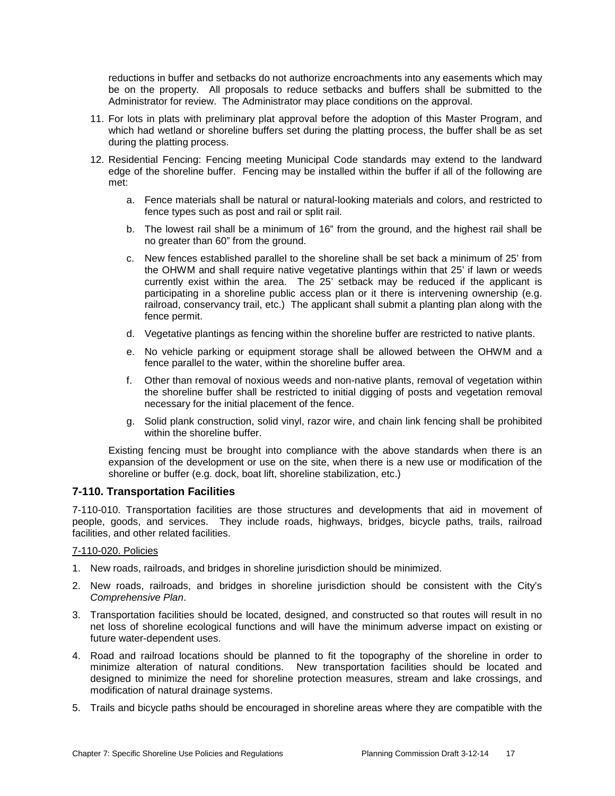reductions in buffer and setbacks do not authorize encroachments into any easements which may be on the property. All proposals to reduce setbacks and buffers shall be submitted to the Administrator for review. The Administrator may place conditions on the approval.

- 11. For lots in plats with preliminary plat approval before the adoption of this Master Program, and which had wetland or shoreline buffers set during the platting process, the buffer shall be as set during the platting process.
- 12. Residential Fencing: Fencing meeting Municipal Code standards may extend to the landward edge of the shoreline buffer. Fencing may be installed within the buffer if all of the following are met:
	- a. Fence materials shall be natural or natural-looking materials and colors, and restricted to fence types such as post and rail or split rail.
	- b. The lowest rail shall be a minimum of 16" from the ground, and the highest rail shall be no greater than 60" from the ground.
	- c. New fences established parallel to the shoreline shall be set back a minimum of 25' from the OHWM and shall require native vegetative plantings within that 25' if lawn or weeds currently exist within the area. The 25' setback may be reduced if the applicant is participating in a shoreline public access plan or it there is intervening ownership (e.g. railroad, conservancy trail, etc.) The applicant shall submit a planting plan along with the fence permit.
	- d. Vegetative plantings as fencing within the shoreline buffer are restricted to native plants.
	- e. No vehicle parking or equipment storage shall be allowed between the OHWM and a fence parallel to the water, within the shoreline buffer area.
	- f. Other than removal of noxious weeds and non-native plants, removal of vegetation within the shoreline buffer shall be restricted to initial digging of posts and vegetation removal necessary for the initial placement of the fence.
	- g. Solid plank construction, solid vinyl, razor wire, and chain link fencing shall be prohibited within the shoreline buffer.

Existing fencing must be brought into compliance with the above standards when there is an expansion of the development or use on the site, when there is a new use or modification of the shoreline or buffer (e.g. dock, boat lift, shoreline stabilization, etc.)

# **7-110. Transportation Facilities**

7-110-010. Transportation facilities are those structures and developments that aid in movement of people, goods, and services. They include roads, highways, bridges, bicycle paths, trails, railroad facilities, and other related facilities.

#### 7-110-020. Policies

- 1. New roads, railroads, and bridges in shoreline jurisdiction should be minimized.
- 2. New roads, railroads, and bridges in shoreline jurisdiction should be consistent with the City's *Comprehensive Plan*.
- 3. Transportation facilities should be located, designed, and constructed so that routes will result in no net loss of shoreline ecological functions and will have the minimum adverse impact on existing or future water-dependent uses.
- 4. Road and railroad locations should be planned to fit the topography of the shoreline in order to minimize alteration of natural conditions. New transportation facilities should be located and designed to minimize the need for shoreline protection measures, stream and lake crossings, and modification of natural drainage systems.
- 5. Trails and bicycle paths should be encouraged in shoreline areas where they are compatible with the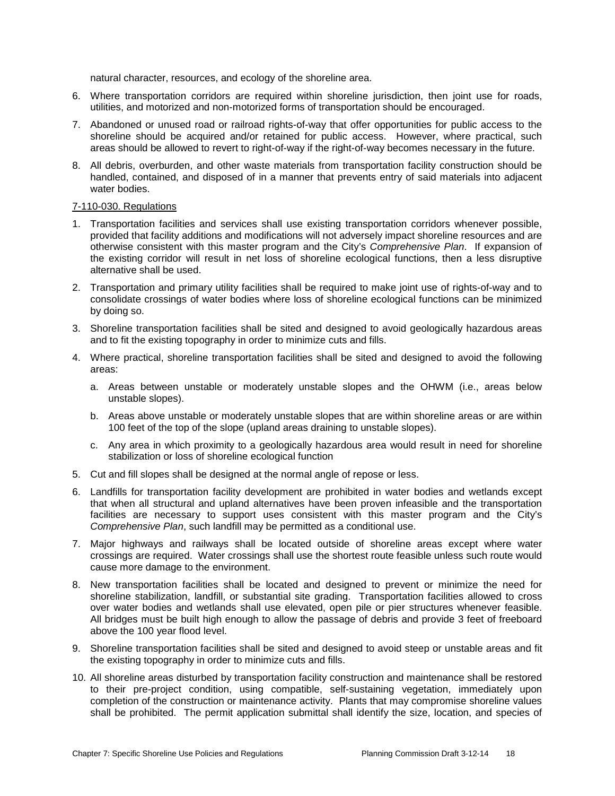natural character, resources, and ecology of the shoreline area.

- 6. Where transportation corridors are required within shoreline jurisdiction, then joint use for roads, utilities, and motorized and non-motorized forms of transportation should be encouraged.
- 7. Abandoned or unused road or railroad rights-of-way that offer opportunities for public access to the shoreline should be acquired and/or retained for public access. However, where practical, such areas should be allowed to revert to right-of-way if the right-of-way becomes necessary in the future.
- 8. All debris, overburden, and other waste materials from transportation facility construction should be handled, contained, and disposed of in a manner that prevents entry of said materials into adjacent water bodies.

#### 7-110-030. Regulations

- 1. Transportation facilities and services shall use existing transportation corridors whenever possible, provided that facility additions and modifications will not adversely impact shoreline resources and are otherwise consistent with this master program and the City's *Comprehensive Plan*. If expansion of the existing corridor will result in net loss of shoreline ecological functions, then a less disruptive alternative shall be used.
- 2. Transportation and primary utility facilities shall be required to make joint use of rights-of-way and to consolidate crossings of water bodies where loss of shoreline ecological functions can be minimized by doing so.
- 3. Shoreline transportation facilities shall be sited and designed to avoid geologically hazardous areas and to fit the existing topography in order to minimize cuts and fills.
- 4. Where practical, shoreline transportation facilities shall be sited and designed to avoid the following areas:
	- a. Areas between unstable or moderately unstable slopes and the OHWM (i.e., areas below unstable slopes).
	- b. Areas above unstable or moderately unstable slopes that are within shoreline areas or are within 100 feet of the top of the slope (upland areas draining to unstable slopes).
	- c. Any area in which proximity to a geologically hazardous area would result in need for shoreline stabilization or loss of shoreline ecological function
- 5. Cut and fill slopes shall be designed at the normal angle of repose or less.
- 6. Landfills for transportation facility development are prohibited in water bodies and wetlands except that when all structural and upland alternatives have been proven infeasible and the transportation facilities are necessary to support uses consistent with this master program and the City's *Comprehensive Plan*, such landfill may be permitted as a conditional use.
- 7. Major highways and railways shall be located outside of shoreline areas except where water crossings are required. Water crossings shall use the shortest route feasible unless such route would cause more damage to the environment.
- 8. New transportation facilities shall be located and designed to prevent or minimize the need for shoreline stabilization, landfill, or substantial site grading. Transportation facilities allowed to cross over water bodies and wetlands shall use elevated, open pile or pier structures whenever feasible. All bridges must be built high enough to allow the passage of debris and provide 3 feet of freeboard above the 100 year flood level.
- 9. Shoreline transportation facilities shall be sited and designed to avoid steep or unstable areas and fit the existing topography in order to minimize cuts and fills.
- 10. All shoreline areas disturbed by transportation facility construction and maintenance shall be restored to their pre-project condition, using compatible, self-sustaining vegetation, immediately upon completion of the construction or maintenance activity. Plants that may compromise shoreline values shall be prohibited. The permit application submittal shall identify the size, location, and species of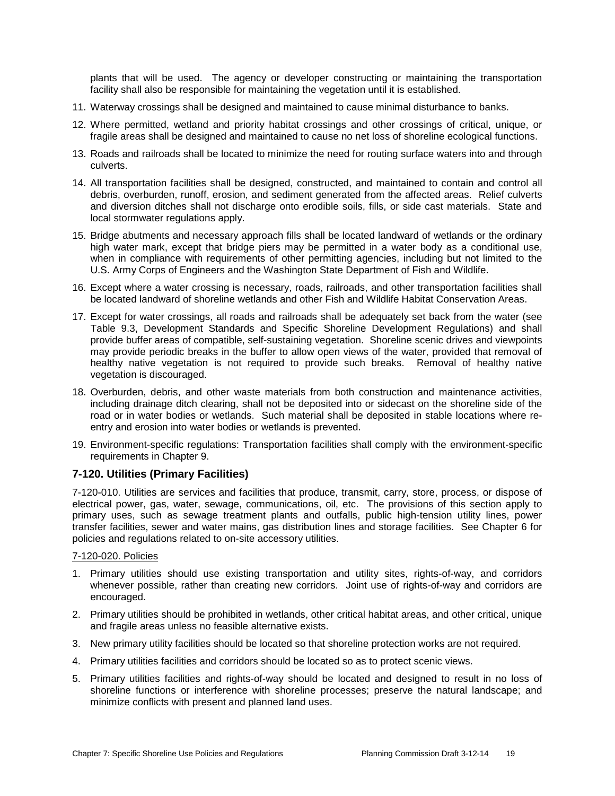plants that will be used. The agency or developer constructing or maintaining the transportation facility shall also be responsible for maintaining the vegetation until it is established.

- 11. Waterway crossings shall be designed and maintained to cause minimal disturbance to banks.
- 12. Where permitted, wetland and priority habitat crossings and other crossings of critical, unique, or fragile areas shall be designed and maintained to cause no net loss of shoreline ecological functions.
- 13. Roads and railroads shall be located to minimize the need for routing surface waters into and through culverts.
- 14. All transportation facilities shall be designed, constructed, and maintained to contain and control all debris, overburden, runoff, erosion, and sediment generated from the affected areas. Relief culverts and diversion ditches shall not discharge onto erodible soils, fills, or side cast materials. State and local stormwater regulations apply.
- 15. Bridge abutments and necessary approach fills shall be located landward of wetlands or the ordinary high water mark, except that bridge piers may be permitted in a water body as a conditional use, when in compliance with requirements of other permitting agencies, including but not limited to the U.S. Army Corps of Engineers and the Washington State Department of Fish and Wildlife.
- 16. Except where a water crossing is necessary, roads, railroads, and other transportation facilities shall be located landward of shoreline wetlands and other Fish and Wildlife Habitat Conservation Areas.
- 17. Except for water crossings, all roads and railroads shall be adequately set back from the water (see Table 9.3, Development Standards and Specific Shoreline Development Regulations) and shall provide buffer areas of compatible, self-sustaining vegetation. Shoreline scenic drives and viewpoints may provide periodic breaks in the buffer to allow open views of the water, provided that removal of healthy native vegetation is not required to provide such breaks. Removal of healthy native vegetation is discouraged.
- 18. Overburden, debris, and other waste materials from both construction and maintenance activities, including drainage ditch clearing, shall not be deposited into or sidecast on the shoreline side of the road or in water bodies or wetlands. Such material shall be deposited in stable locations where reentry and erosion into water bodies or wetlands is prevented.
- 19. Environment-specific regulations: Transportation facilities shall comply with the environment-specific requirements in Chapter 9.

# **7-120. Utilities (Primary Facilities)**

7-120-010. Utilities are services and facilities that produce, transmit, carry, store, process, or dispose of electrical power, gas, water, sewage, communications, oil, etc. The provisions of this section apply to primary uses, such as sewage treatment plants and outfalls, public high-tension utility lines, power transfer facilities, sewer and water mains, gas distribution lines and storage facilities. See Chapter 6 for policies and regulations related to on-site accessory utilities.

#### 7-120-020. Policies

- 1. Primary utilities should use existing transportation and utility sites, rights-of-way, and corridors whenever possible, rather than creating new corridors. Joint use of rights-of-way and corridors are encouraged.
- 2. Primary utilities should be prohibited in wetlands, other critical habitat areas, and other critical, unique and fragile areas unless no feasible alternative exists.
- 3. New primary utility facilities should be located so that shoreline protection works are not required.
- 4. Primary utilities facilities and corridors should be located so as to protect scenic views.
- 5. Primary utilities facilities and rights-of-way should be located and designed to result in no loss of shoreline functions or interference with shoreline processes; preserve the natural landscape; and minimize conflicts with present and planned land uses.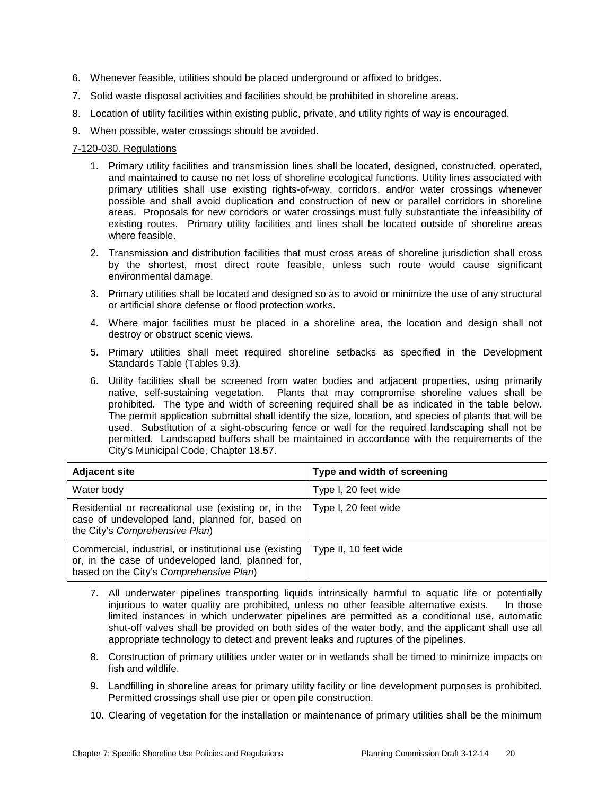- 6. Whenever feasible, utilities should be placed underground or affixed to bridges.
- 7. Solid waste disposal activities and facilities should be prohibited in shoreline areas.
- 8. Location of utility facilities within existing public, private, and utility rights of way is encouraged.
- 9. When possible, water crossings should be avoided.

#### 7-120-030. Regulations

- 1. Primary utility facilities and transmission lines shall be located, designed, constructed, operated, and maintained to cause no net loss of shoreline ecological functions. Utility lines associated with primary utilities shall use existing rights-of-way, corridors, and/or water crossings whenever possible and shall avoid duplication and construction of new or parallel corridors in shoreline areas. Proposals for new corridors or water crossings must fully substantiate the infeasibility of existing routes. Primary utility facilities and lines shall be located outside of shoreline areas where feasible.
- 2. Transmission and distribution facilities that must cross areas of shoreline jurisdiction shall cross by the shortest, most direct route feasible, unless such route would cause significant environmental damage.
- 3. Primary utilities shall be located and designed so as to avoid or minimize the use of any structural or artificial shore defense or flood protection works.
- 4. Where major facilities must be placed in a shoreline area, the location and design shall not destroy or obstruct scenic views.
- 5. Primary utilities shall meet required shoreline setbacks as specified in the Development Standards Table (Tables 9.3).
- 6. Utility facilities shall be screened from water bodies and adjacent properties, using primarily native, self-sustaining vegetation. Plants that may compromise shoreline values shall be prohibited. The type and width of screening required shall be as indicated in the table below. The permit application submittal shall identify the size, location, and species of plants that will be used. Substitution of a sight-obscuring fence or wall for the required landscaping shall not be permitted. Landscaped buffers shall be maintained in accordance with the requirements of the City's Municipal Code, Chapter 18.57.

| <b>Adjacent site</b>                                                                                                                                   | Type and width of screening |
|--------------------------------------------------------------------------------------------------------------------------------------------------------|-----------------------------|
| Water body                                                                                                                                             | Type I, 20 feet wide        |
| Residential or recreational use (existing or, in the  <br>case of undeveloped land, planned for, based on<br>the City's Comprehensive Plan)            | Type I, 20 feet wide        |
| Commercial, industrial, or institutional use (existing<br>or, in the case of undeveloped land, planned for,<br>based on the City's Comprehensive Plan) | Type II, 10 feet wide       |

- 7. All underwater pipelines transporting liquids intrinsically harmful to aquatic life or potentially injurious to water quality are prohibited, unless no other feasible alternative exists. In those limited instances in which underwater pipelines are permitted as a conditional use, automatic shut-off valves shall be provided on both sides of the water body, and the applicant shall use all appropriate technology to detect and prevent leaks and ruptures of the pipelines.
- 8. Construction of primary utilities under water or in wetlands shall be timed to minimize impacts on fish and wildlife.
- 9. Landfilling in shoreline areas for primary utility facility or line development purposes is prohibited. Permitted crossings shall use pier or open pile construction.
- 10. Clearing of vegetation for the installation or maintenance of primary utilities shall be the minimum